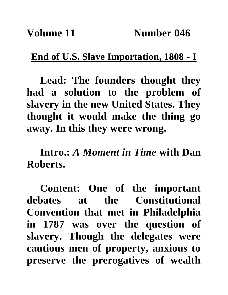## **End of U.S. Slave Importation, 1808 - I**

**Lead: The founders thought they had a solution to the problem of slavery in the new United States. They thought it would make the thing go away. In this they were wrong.**

**Intro.:** *A Moment in Time* **with Dan Roberts.**

**Content: One of the important debates at the Constitutional Convention that met in Philadelphia in 1787 was over the question of slavery. Though the delegates were cautious men of property, anxious to preserve the prerogatives of wealth**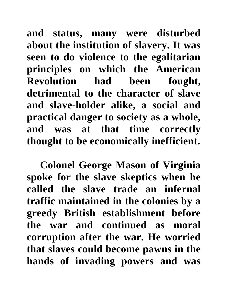**and status, many were disturbed about the institution of slavery. It was seen to do violence to the egalitarian principles on which the American Revolution had been fought, detrimental to the character of slave and slave-holder alike, a social and practical danger to society as a whole, and was at that time correctly thought to be economically inefficient.**

**Colonel George Mason of Virginia spoke for the slave skeptics when he called the slave trade an infernal traffic maintained in the colonies by a greedy British establishment before the war and continued as moral corruption after the war. He worried that slaves could become pawns in the hands of invading powers and was**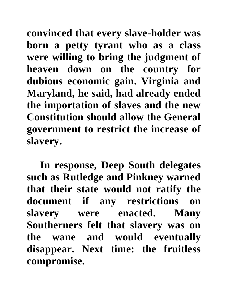**convinced that every slave-holder was born a petty tyrant who as a class were willing to bring the judgment of heaven down on the country for dubious economic gain. Virginia and Maryland, he said, had already ended the importation of slaves and the new Constitution should allow the General government to restrict the increase of slavery.**

**In response, Deep South delegates such as Rutledge and Pinkney warned that their state would not ratify the document if any restrictions on slavery were enacted. Many Southerners felt that slavery was on the wane and would eventually disappear. Next time: the fruitless compromise.**